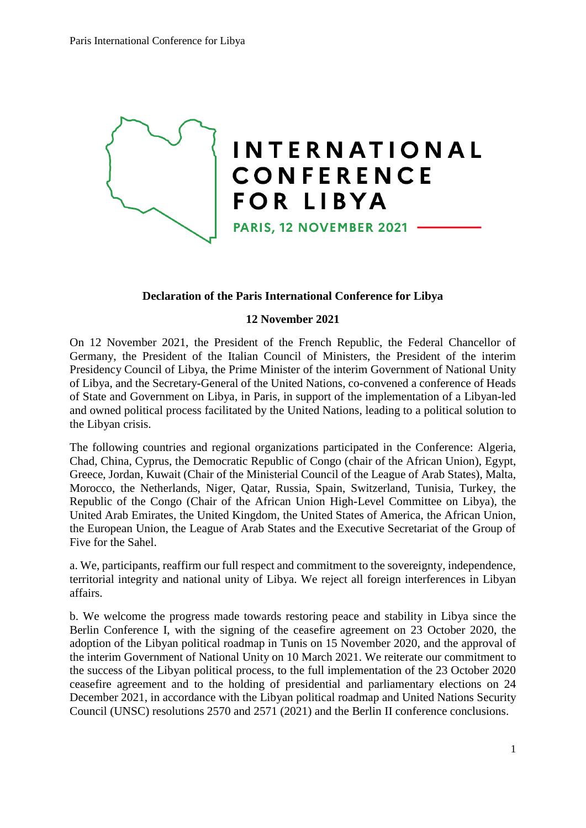

## **Declaration of the Paris International Conference for Libya**

## **12 November 2021**

On 12 November 2021, the President of the French Republic, the Federal Chancellor of Germany, the President of the Italian Council of Ministers, the President of the interim Presidency Council of Libya, the Prime Minister of the interim Government of National Unity of Libya, and the Secretary-General of the United Nations, co-convened a conference of Heads of State and Government on Libya, in Paris, in support of the implementation of a Libyan-led and owned political process facilitated by the United Nations, leading to a political solution to the Libyan crisis.

The following countries and regional organizations participated in the Conference: Algeria, Chad, China, Cyprus, the Democratic Republic of Congo (chair of the African Union), Egypt, Greece, Jordan, Kuwait (Chair of the Ministerial Council of the League of Arab States), Malta, Morocco, the Netherlands, Niger, Qatar, Russia, Spain, Switzerland, Tunisia, Turkey, the Republic of the Congo (Chair of the African Union High-Level Committee on Libya), the United Arab Emirates, the United Kingdom, the United States of America, the African Union, the European Union, the League of Arab States and the Executive Secretariat of the Group of Five for the Sahel.

a. We, participants, reaffirm our full respect and commitment to the sovereignty, independence, territorial integrity and national unity of Libya. We reject all foreign interferences in Libyan affairs.

b. We welcome the progress made towards restoring peace and stability in Libya since the Berlin Conference I, with the signing of the ceasefire agreement on 23 October 2020, the adoption of the Libyan political roadmap in Tunis on 15 November 2020, and the approval of the interim Government of National Unity on 10 March 2021. We reiterate our commitment to the success of the Libyan political process, to the full implementation of the 23 October 2020 ceasefire agreement and to the holding of presidential and parliamentary elections on 24 December 2021, in accordance with the Libyan political roadmap and United Nations Security Council (UNSC) resolutions 2570 and 2571 (2021) and the Berlin II conference conclusions.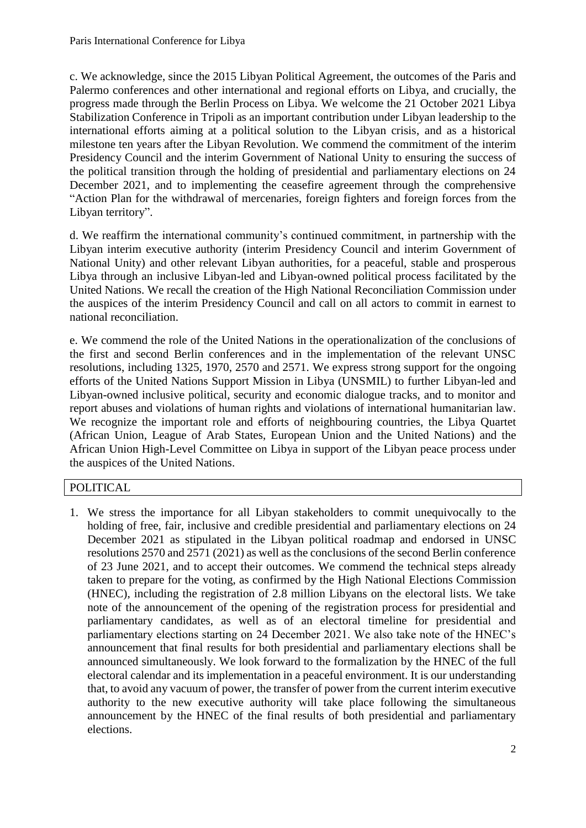c. We acknowledge, since the 2015 Libyan Political Agreement, the outcomes of the Paris and Palermo conferences and other international and regional efforts on Libya, and crucially, the progress made through the Berlin Process on Libya. We welcome the 21 October 2021 Libya Stabilization Conference in Tripoli as an important contribution under Libyan leadership to the international efforts aiming at a political solution to the Libyan crisis, and as a historical milestone ten years after the Libyan Revolution. We commend the commitment of the interim Presidency Council and the interim Government of National Unity to ensuring the success of the political transition through the holding of presidential and parliamentary elections on 24 December 2021, and to implementing the ceasefire agreement through the comprehensive "Action Plan for the withdrawal of mercenaries, foreign fighters and foreign forces from the Libyan territory".

d. We reaffirm the international community's continued commitment, in partnership with the Libyan interim executive authority (interim Presidency Council and interim Government of National Unity) and other relevant Libyan authorities, for a peaceful, stable and prosperous Libya through an inclusive Libyan-led and Libyan-owned political process facilitated by the United Nations. We recall the creation of the High National Reconciliation Commission under the auspices of the interim Presidency Council and call on all actors to commit in earnest to national reconciliation.

e. We commend the role of the United Nations in the operationalization of the conclusions of the first and second Berlin conferences and in the implementation of the relevant UNSC resolutions, including 1325, 1970, 2570 and 2571. We express strong support for the ongoing efforts of the United Nations Support Mission in Libya (UNSMIL) to further Libyan-led and Libyan-owned inclusive political, security and economic dialogue tracks, and to monitor and report abuses and violations of human rights and violations of international humanitarian law. We recognize the important role and efforts of neighbouring countries, the Libya Quartet (African Union, League of Arab States, European Union and the United Nations) and the African Union High-Level Committee on Libya in support of the Libyan peace process under the auspices of the United Nations.

## POLITICAL

1. We stress the importance for all Libyan stakeholders to commit unequivocally to the holding of free, fair, inclusive and credible presidential and parliamentary elections on 24 December 2021 as stipulated in the Libyan political roadmap and endorsed in UNSC resolutions 2570 and 2571 (2021) as well as the conclusions of the second Berlin conference of 23 June 2021, and to accept their outcomes. We commend the technical steps already taken to prepare for the voting, as confirmed by the High National Elections Commission (HNEC), including the registration of 2.8 million Libyans on the electoral lists. We take note of the announcement of the opening of the registration process for presidential and parliamentary candidates, as well as of an electoral timeline for presidential and parliamentary elections starting on 24 December 2021. We also take note of the HNEC's announcement that final results for both presidential and parliamentary elections shall be announced simultaneously. We look forward to the formalization by the HNEC of the full electoral calendar and its implementation in a peaceful environment. It is our understanding that, to avoid any vacuum of power, the transfer of power from the current interim executive authority to the new executive authority will take place following the simultaneous announcement by the HNEC of the final results of both presidential and parliamentary elections.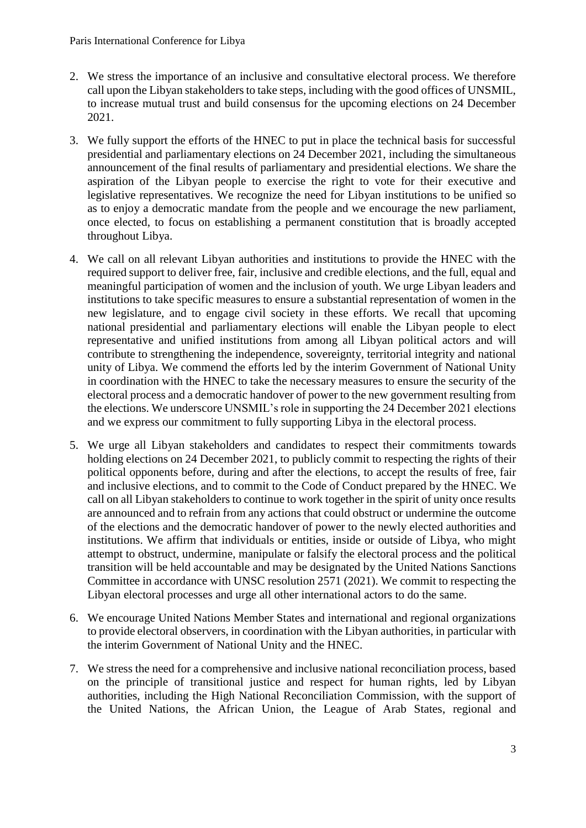- 2. We stress the importance of an inclusive and consultative electoral process. We therefore call upon the Libyan stakeholders to take steps, including with the good offices of UNSMIL, to increase mutual trust and build consensus for the upcoming elections on 24 December 2021.
- 3. We fully support the efforts of the HNEC to put in place the technical basis for successful presidential and parliamentary elections on 24 December 2021, including the simultaneous announcement of the final results of parliamentary and presidential elections. We share the aspiration of the Libyan people to exercise the right to vote for their executive and legislative representatives. We recognize the need for Libyan institutions to be unified so as to enjoy a democratic mandate from the people and we encourage the new parliament, once elected, to focus on establishing a permanent constitution that is broadly accepted throughout Libya.
- 4. We call on all relevant Libyan authorities and institutions to provide the HNEC with the required support to deliver free, fair, inclusive and credible elections, and the full, equal and meaningful participation of women and the inclusion of youth. We urge Libyan leaders and institutions to take specific measures to ensure a substantial representation of women in the new legislature, and to engage civil society in these efforts. We recall that upcoming national presidential and parliamentary elections will enable the Libyan people to elect representative and unified institutions from among all Libyan political actors and will contribute to strengthening the independence, sovereignty, territorial integrity and national unity of Libya. We commend the efforts led by the interim Government of National Unity in coordination with the HNEC to take the necessary measures to ensure the security of the electoral process and a democratic handover of power to the new government resulting from the elections. We underscore UNSMIL's role in supporting the 24 December 2021 elections and we express our commitment to fully supporting Libya in the electoral process.
- 5. We urge all Libyan stakeholders and candidates to respect their commitments towards holding elections on 24 December 2021, to publicly commit to respecting the rights of their political opponents before, during and after the elections, to accept the results of free, fair and inclusive elections, and to commit to the Code of Conduct prepared by the HNEC. We call on all Libyan stakeholders to continue to work together in the spirit of unity once results are announced and to refrain from any actions that could obstruct or undermine the outcome of the elections and the democratic handover of power to the newly elected authorities and institutions. We affirm that individuals or entities, inside or outside of Libya, who might attempt to obstruct, undermine, manipulate or falsify the electoral process and the political transition will be held accountable and may be designated by the United Nations Sanctions Committee in accordance with UNSC resolution 2571 (2021). We commit to respecting the Libyan electoral processes and urge all other international actors to do the same.
- 6. We encourage United Nations Member States and international and regional organizations to provide electoral observers, in coordination with the Libyan authorities, in particular with the interim Government of National Unity and the HNEC.
- 7. We stress the need for a comprehensive and inclusive national reconciliation process, based on the principle of transitional justice and respect for human rights, led by Libyan authorities, including the High National Reconciliation Commission, with the support of the United Nations, the African Union, the League of Arab States, regional and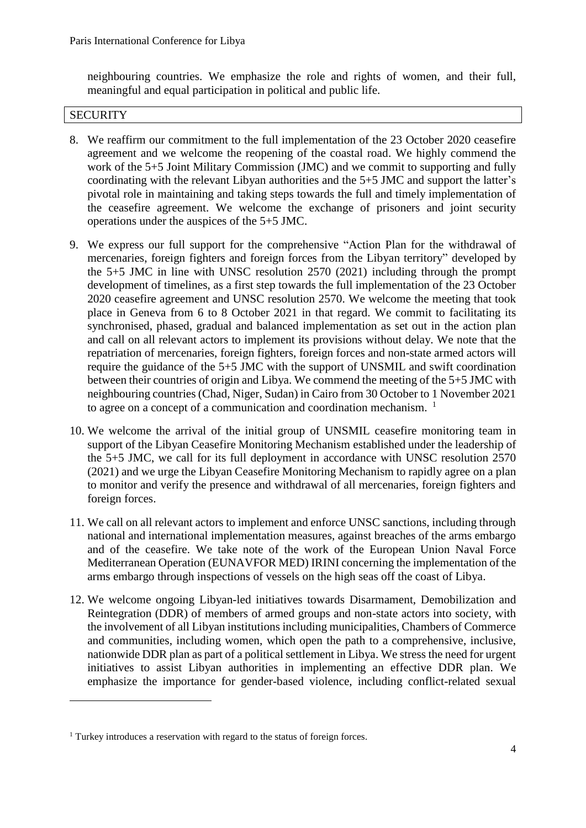neighbouring countries. We emphasize the role and rights of women, and their full, meaningful and equal participation in political and public life.

## **SECURITY**

**.** 

- 8. We reaffirm our commitment to the full implementation of the 23 October 2020 ceasefire agreement and we welcome the reopening of the coastal road. We highly commend the work of the 5+5 Joint Military Commission (JMC) and we commit to supporting and fully coordinating with the relevant Libyan authorities and the 5+5 JMC and support the latter's pivotal role in maintaining and taking steps towards the full and timely implementation of the ceasefire agreement. We welcome the exchange of prisoners and joint security operations under the auspices of the 5+5 JMC.
- 9. We express our full support for the comprehensive "Action Plan for the withdrawal of mercenaries, foreign fighters and foreign forces from the Libyan territory" developed by the 5+5 JMC in line with UNSC resolution 2570 (2021) including through the prompt development of timelines, as a first step towards the full implementation of the 23 October 2020 ceasefire agreement and UNSC resolution 2570. We welcome the meeting that took place in Geneva from 6 to 8 October 2021 in that regard. We commit to facilitating its synchronised, phased, gradual and balanced implementation as set out in the action plan and call on all relevant actors to implement its provisions without delay. We note that the repatriation of mercenaries, foreign fighters, foreign forces and non-state armed actors will require the guidance of the 5+5 JMC with the support of UNSMIL and swift coordination between their countries of origin and Libya. We commend the meeting of the 5+5 JMC with neighbouring countries (Chad, Niger, Sudan) in Cairo from 30 October to 1 November 2021 to agree on a concept of a communication and coordination mechanism.  $<sup>1</sup>$ </sup>
- 10. We welcome the arrival of the initial group of UNSMIL ceasefire monitoring team in support of the Libyan Ceasefire Monitoring Mechanism established under the leadership of the 5+5 JMC, we call for its full deployment in accordance with UNSC resolution 2570 (2021) and we urge the Libyan Ceasefire Monitoring Mechanism to rapidly agree on a plan to monitor and verify the presence and withdrawal of all mercenaries, foreign fighters and foreign forces.
- 11. We call on all relevant actors to implement and enforce UNSC sanctions, including through national and international implementation measures, against breaches of the arms embargo and of the ceasefire. We take note of the work of the European Union Naval Force Mediterranean Operation (EUNAVFOR MED) IRINI concerning the implementation of the arms embargo through inspections of vessels on the high seas off the coast of Libya.
- 12. We welcome ongoing Libyan-led initiatives towards Disarmament, Demobilization and Reintegration (DDR) of members of armed groups and non-state actors into society, with the involvement of all Libyan institutions including municipalities, Chambers of Commerce and communities, including women, which open the path to a comprehensive, inclusive, nationwide DDR plan as part of a political settlement in Libya. We stress the need for urgent initiatives to assist Libyan authorities in implementing an effective DDR plan. We emphasize the importance for gender-based violence, including conflict-related sexual

<sup>&</sup>lt;sup>1</sup> Turkey introduces a reservation with regard to the status of foreign forces.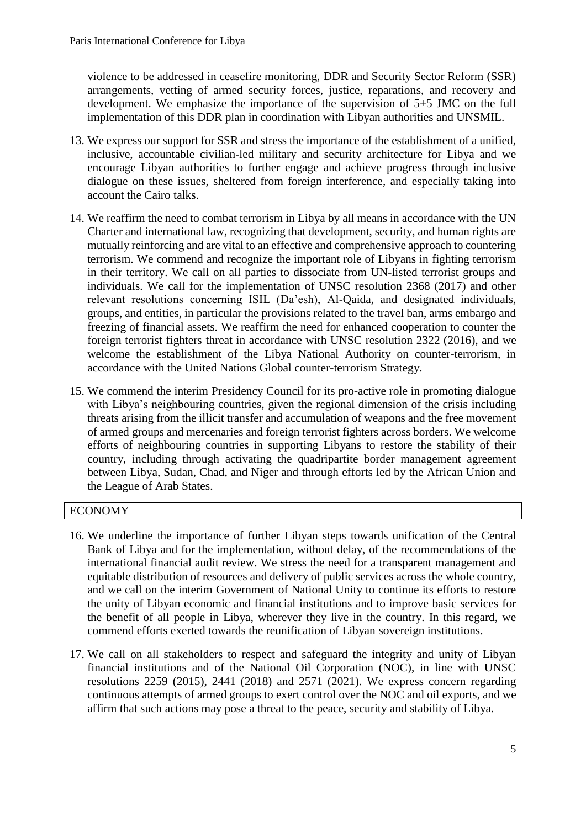violence to be addressed in ceasefire monitoring, DDR and Security Sector Reform (SSR) arrangements, vetting of armed security forces, justice, reparations, and recovery and development. We emphasize the importance of the supervision of 5+5 JMC on the full implementation of this DDR plan in coordination with Libyan authorities and UNSMIL.

- 13. We express our support for SSR and stress the importance of the establishment of a unified, inclusive, accountable civilian-led military and security architecture for Libya and we encourage Libyan authorities to further engage and achieve progress through inclusive dialogue on these issues, sheltered from foreign interference, and especially taking into account the Cairo talks.
- 14. We reaffirm the need to combat terrorism in Libya by all means in accordance with the UN Charter and international law, recognizing that development, security, and human rights are mutually reinforcing and are vital to an effective and comprehensive approach to countering terrorism. We commend and recognize the important role of Libyans in fighting terrorism in their territory. We call on all parties to dissociate from UN-listed terrorist groups and individuals. We call for the implementation of UNSC resolution 2368 (2017) and other relevant resolutions concerning ISIL (Da'esh), Al-Qaida, and designated individuals, groups, and entities, in particular the provisions related to the travel ban, arms embargo and freezing of financial assets. We reaffirm the need for enhanced cooperation to counter the foreign terrorist fighters threat in accordance with UNSC resolution 2322 (2016), and we welcome the establishment of the Libya National Authority on counter-terrorism, in accordance with the United Nations Global counter-terrorism Strategy.
- 15. We commend the interim Presidency Council for its pro-active role in promoting dialogue with Libya's neighbouring countries, given the regional dimension of the crisis including threats arising from the illicit transfer and accumulation of weapons and the free movement of armed groups and mercenaries and foreign terrorist fighters across borders. We welcome efforts of neighbouring countries in supporting Libyans to restore the stability of their country, including through activating the quadripartite border management agreement between Libya, Sudan, Chad, and Niger and through efforts led by the African Union and the League of Arab States.

# ECONOMY

- 16. We underline the importance of further Libyan steps towards unification of the Central Bank of Libya and for the implementation, without delay, of the recommendations of the international financial audit review. We stress the need for a transparent management and equitable distribution of resources and delivery of public services across the whole country, and we call on the interim Government of National Unity to continue its efforts to restore the unity of Libyan economic and financial institutions and to improve basic services for the benefit of all people in Libya, wherever they live in the country. In this regard, we commend efforts exerted towards the reunification of Libyan sovereign institutions.
- 17. We call on all stakeholders to respect and safeguard the integrity and unity of Libyan financial institutions and of the National Oil Corporation (NOC), in line with UNSC resolutions 2259 (2015), 2441 (2018) and 2571 (2021). We express concern regarding continuous attempts of armed groups to exert control over the NOC and oil exports, and we affirm that such actions may pose a threat to the peace, security and stability of Libya.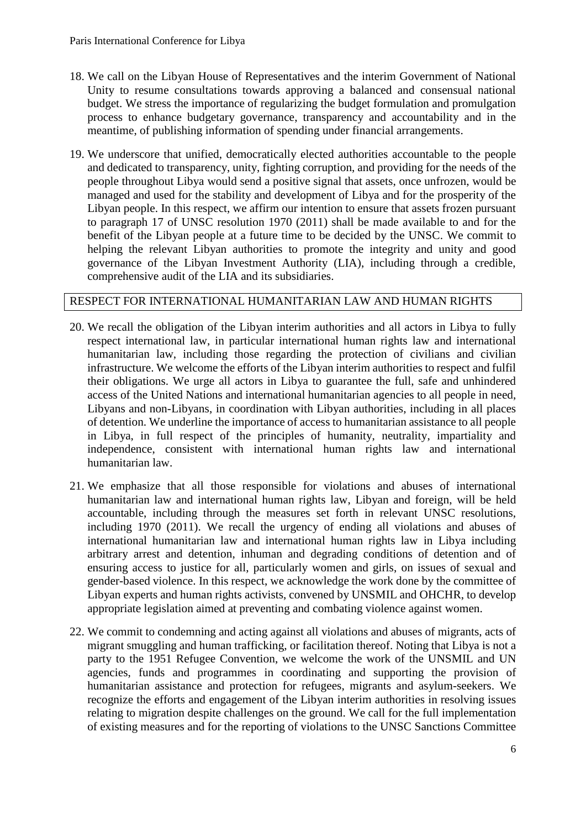- 18. We call on the Libyan House of Representatives and the interim Government of National Unity to resume consultations towards approving a balanced and consensual national budget. We stress the importance of regularizing the budget formulation and promulgation process to enhance budgetary governance, transparency and accountability and in the meantime, of publishing information of spending under financial arrangements.
- 19. We underscore that unified, democratically elected authorities accountable to the people and dedicated to transparency, unity, fighting corruption, and providing for the needs of the people throughout Libya would send a positive signal that assets, once unfrozen, would be managed and used for the stability and development of Libya and for the prosperity of the Libyan people. In this respect, we affirm our intention to ensure that assets frozen pursuant to paragraph 17 of UNSC resolution 1970 (2011) shall be made available to and for the benefit of the Libyan people at a future time to be decided by the UNSC. We commit to helping the relevant Libyan authorities to promote the integrity and unity and good governance of the Libyan Investment Authority (LIA), including through a credible, comprehensive audit of the LIA and its subsidiaries.

## RESPECT FOR INTERNATIONAL HUMANITARIAN LAW AND HUMAN RIGHTS

- 20. We recall the obligation of the Libyan interim authorities and all actors in Libya to fully respect international law, in particular international human rights law and international humanitarian law, including those regarding the protection of civilians and civilian infrastructure. We welcome the efforts of the Libyan interim authorities to respect and fulfil their obligations. We urge all actors in Libya to guarantee the full, safe and unhindered access of the United Nations and international humanitarian agencies to all people in need, Libyans and non-Libyans, in coordination with Libyan authorities, including in all places of detention. We underline the importance of access to humanitarian assistance to all people in Libya, in full respect of the principles of humanity, neutrality, impartiality and independence, consistent with international human rights law and international humanitarian law.
- 21. We emphasize that all those responsible for violations and abuses of international humanitarian law and international human rights law, Libyan and foreign, will be held accountable, including through the measures set forth in relevant UNSC resolutions, including 1970 (2011). We recall the urgency of ending all violations and abuses of international humanitarian law and international human rights law in Libya including arbitrary arrest and detention, inhuman and degrading conditions of detention and of ensuring access to justice for all, particularly women and girls, on issues of sexual and gender-based violence. In this respect, we acknowledge the work done by the committee of Libyan experts and human rights activists, convened by UNSMIL and OHCHR, to develop appropriate legislation aimed at preventing and combating violence against women.
- 22. We commit to condemning and acting against all violations and abuses of migrants, acts of migrant smuggling and human trafficking, or facilitation thereof. Noting that Libya is not a party to the 1951 Refugee Convention, we welcome the work of the UNSMIL and UN agencies, funds and programmes in coordinating and supporting the provision of humanitarian assistance and protection for refugees, migrants and asylum-seekers. We recognize the efforts and engagement of the Libyan interim authorities in resolving issues relating to migration despite challenges on the ground. We call for the full implementation of existing measures and for the reporting of violations to the UNSC Sanctions Committee